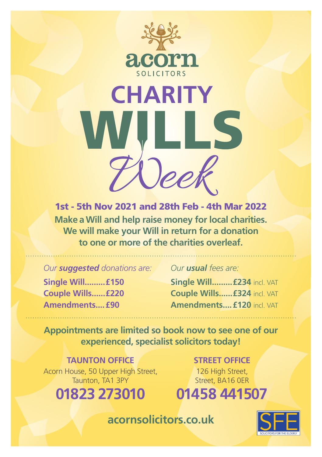

## **CHARITY**

1st - 5th Nov 2021 and 28th Feb - 4th Mar 2022 **Make a Will and help raise money for local charities. We will make your Will in return for a donation to one or more of the charities overleaf.**

*Our suggested donations are:*

**Single Will.........£150 Couple Wills......£220 Amendments....£90**

## *Our usual fees are:*

**Single Will.........£234** incl. VAT **Couple Wills......£324** incl. VAT **Amendments....£120** incl. VAT

**Appointments are limited so book now to see one of our experienced, specialist solicitors today!**

**TAUNTON OFFICE** Acorn House, 50 Upper High Street, Taunton, TA<sub>1</sub> 3PY

**01823 273010**

**STREET OFFICE**

126 High Street, Street, BA16 0ER

## **01458 441507**

**acornsolicitors.co.uk**